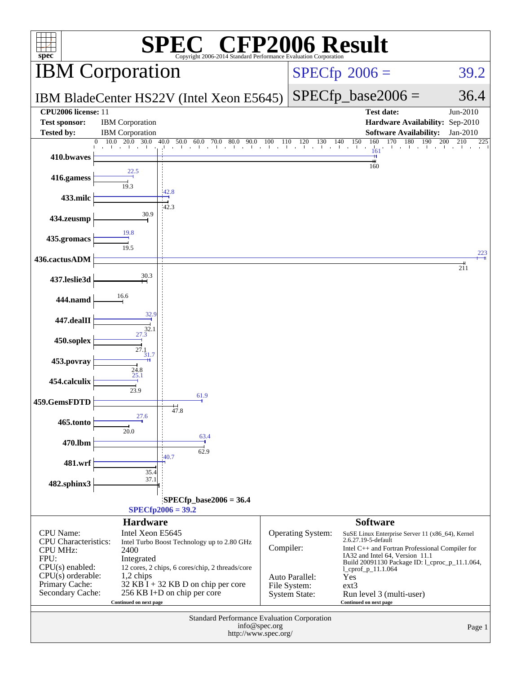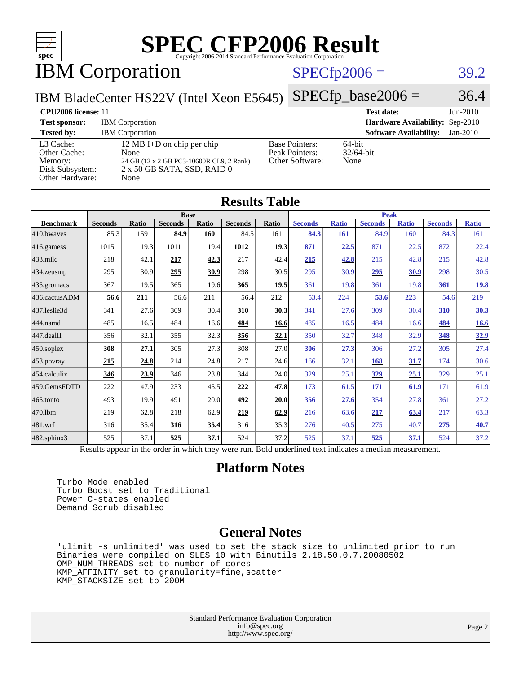

IBM Corporation

### $SPECfp2006 = 39.2$  $SPECfp2006 = 39.2$

IBM BladeCenter HS22V (Intel Xeon E5645)

 $SPECfp\_base2006 = 36.4$ 

| <b>CPU2006 license: 11</b>                                                 |                                                                                                                              |                                                            | <b>Test date:</b><br>$Jun-2010$             |  |  |
|----------------------------------------------------------------------------|------------------------------------------------------------------------------------------------------------------------------|------------------------------------------------------------|---------------------------------------------|--|--|
| <b>Test sponsor:</b>                                                       | <b>IBM</b> Corporation                                                                                                       | <b>Hardware Availability: Sep-2010</b>                     |                                             |  |  |
| <b>Tested by:</b>                                                          | <b>IBM</b> Corporation                                                                                                       |                                                            | <b>Software Availability:</b><br>$Jan-2010$ |  |  |
| L3 Cache:<br>Other Cache:<br>Memory:<br>Disk Subsystem:<br>Other Hardware: | 12 MB I+D on chip per chip<br>None<br>24 GB (12 x 2 GB PC3-10600R CL9, 2 Rank)<br>$2 \times 50$ GB SATA, SSD, RAID 0<br>None | <b>Base Pointers:</b><br>Peak Pointers:<br>Other Software: | 64-bit<br>$32/64$ -bit<br>None              |  |  |

**[Results Table](http://www.spec.org/auto/cpu2006/Docs/result-fields.html#ResultsTable)**

| Results Table     |                                                                                                          |              |                |       |                |       |                |              |                |              |                |              |
|-------------------|----------------------------------------------------------------------------------------------------------|--------------|----------------|-------|----------------|-------|----------------|--------------|----------------|--------------|----------------|--------------|
|                   |                                                                                                          |              | <b>Base</b>    |       |                |       |                | <b>Peak</b>  |                |              |                |              |
| <b>Benchmark</b>  | <b>Seconds</b>                                                                                           | <b>Ratio</b> | <b>Seconds</b> | Ratio | <b>Seconds</b> | Ratio | <b>Seconds</b> | <b>Ratio</b> | <b>Seconds</b> | <b>Ratio</b> | <b>Seconds</b> | <b>Ratio</b> |
| 410.bwaves        | 85.3                                                                                                     | 159          | 84.9           | 160   | 84.5           | 161   | 84.3           | 161          | 84.9           | 160          | 84.3           | 161          |
| 416.gamess        | 1015                                                                                                     | 19.3         | 1011           | 19.4  | 1012           | 19.3  | 871            | 22.5         | 871            | 22.5         | 872            | 22.4         |
| $433$ .milc       | 218                                                                                                      | 42.1         | 217            | 42.3  | 217            | 42.4  | 215            | 42.8         | 215            | 42.8         | 215            | 42.8         |
| 434.zeusmp        | 295                                                                                                      | 30.9         | 295            | 30.9  | 298            | 30.5  | 295            | 30.9         | 295            | 30.9         | 298            | 30.5         |
| 435.gromacs       | 367                                                                                                      | 19.5         | 365            | 19.6  | 365            | 19.5  | 361            | 19.8         | 361            | 19.8         | 361            | <u>19.8</u>  |
| 436.cactusADM     | 56.6                                                                                                     | 211          | 56.6           | 211   | 56.4           | 212   | 53.4           | 224          | 53.6           | 223          | 54.6           | 219          |
| 437.leslie3d      | 341                                                                                                      | 27.6         | 309            | 30.4  | 310            | 30.3  | 341            | 27.6         | 309            | 30.4         | <u>310</u>     | 30.3         |
| 444.namd          | 485                                                                                                      | 16.5         | 484            | 16.6  | 484            | 16.6  | 485            | 16.5         | 484            | 16.6         | 484            | 16.6         |
| $447$ .dealII     | 356                                                                                                      | 32.1         | 355            | 32.3  | 356            | 32.1  | 350            | 32.7         | 348            | 32.9         | 348            | 32.9         |
| $450$ .soplex     | 308                                                                                                      | 27.1         | 305            | 27.3  | 308            | 27.0  | 306            | 27.3         | 306            | 27.2         | 305            | 27.4         |
| 453.povray        | 215                                                                                                      | 24.8         | 214            | 24.8  | 217            | 24.6  | 166            | 32.1         | 168            | 31.7         | 174            | 30.6         |
| 454.calculix      | 346                                                                                                      | 23.9         | 346            | 23.8  | 344            | 24.0  | 329            | 25.1         | 329            | 25.1         | 329            | 25.1         |
| 459.GemsFDTD      | 222                                                                                                      | 47.9         | 233            | 45.5  | 222            | 47.8  | 173            | 61.5         | 171            | 61.9         | 171            | 61.9         |
| 465.tonto         | 493                                                                                                      | 19.9         | 491            | 20.0  | 492            | 20.0  | <u>356</u>     | 27.6         | 354            | 27.8         | 361            | 27.2         |
| 470.1bm           | 219                                                                                                      | 62.8         | 218            | 62.9  | 219            | 62.9  | 216            | 63.6         | 217            | 63.4         | 217            | 63.3         |
| 481.wrf           | 316                                                                                                      | 35.4         | 316            | 35.4  | 316            | 35.3  | 276            | 40.5         | 275            | 40.7         | 275            | 40.7         |
| $482$ .sphinx $3$ | 525                                                                                                      | 37.1         | 525            | 37.1  | 524            | 37.2  | 525            | 37.1         | 525            | 37.1         | 524            | 37.2         |
|                   | Results appear in the order in which they were run. Bold underlined text indicates a median measurement. |              |                |       |                |       |                |              |                |              |                |              |

#### **[Platform Notes](http://www.spec.org/auto/cpu2006/Docs/result-fields.html#PlatformNotes)**

 Turbo Mode enabled Turbo Boost set to Traditional Power C-states enabled Demand Scrub disabled

#### **[General Notes](http://www.spec.org/auto/cpu2006/Docs/result-fields.html#GeneralNotes)**

 'ulimit -s unlimited' was used to set the stack size to unlimited prior to run Binaries were compiled on SLES 10 with Binutils 2.18.50.0.7.20080502 OMP\_NUM\_THREADS set to number of cores KMP\_AFFINITY set to granularity=fine,scatter KMP\_STACKSIZE set to 200M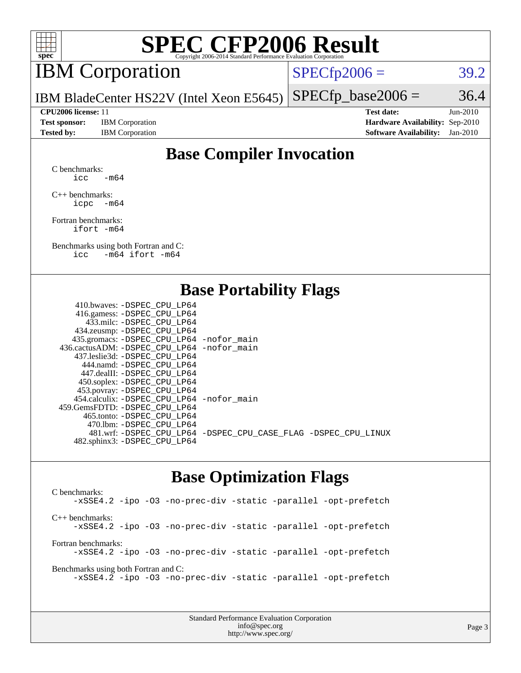

## IBM Corporation

 $SPECTp2006 = 39.2$ 

IBM BladeCenter HS22V (Intel Xeon E5645)  $SPECTp\_base2006 = 36.4$ 

**[Test sponsor:](http://www.spec.org/auto/cpu2006/Docs/result-fields.html#Testsponsor)** IBM Corporation **[Hardware Availability:](http://www.spec.org/auto/cpu2006/Docs/result-fields.html#HardwareAvailability)** Sep-2010

**[CPU2006 license:](http://www.spec.org/auto/cpu2006/Docs/result-fields.html#CPU2006license)** 11 **[Test date:](http://www.spec.org/auto/cpu2006/Docs/result-fields.html#Testdate)** Jun-2010 **[Tested by:](http://www.spec.org/auto/cpu2006/Docs/result-fields.html#Testedby)** IBM Corporation **[Software Availability:](http://www.spec.org/auto/cpu2006/Docs/result-fields.html#SoftwareAvailability)** Jan-2010

### **[Base Compiler Invocation](http://www.spec.org/auto/cpu2006/Docs/result-fields.html#BaseCompilerInvocation)**

[C benchmarks](http://www.spec.org/auto/cpu2006/Docs/result-fields.html#Cbenchmarks):  $\text{icc}$  -m64

[C++ benchmarks:](http://www.spec.org/auto/cpu2006/Docs/result-fields.html#CXXbenchmarks) [icpc -m64](http://www.spec.org/cpu2006/results/res2010q3/cpu2006-20100802-12791.flags.html#user_CXXbase_intel_icpc_64bit_bedb90c1146cab66620883ef4f41a67e)

[Fortran benchmarks](http://www.spec.org/auto/cpu2006/Docs/result-fields.html#Fortranbenchmarks): [ifort -m64](http://www.spec.org/cpu2006/results/res2010q3/cpu2006-20100802-12791.flags.html#user_FCbase_intel_ifort_64bit_ee9d0fb25645d0210d97eb0527dcc06e)

[Benchmarks using both Fortran and C](http://www.spec.org/auto/cpu2006/Docs/result-fields.html#BenchmarksusingbothFortranandC): [icc -m64](http://www.spec.org/cpu2006/results/res2010q3/cpu2006-20100802-12791.flags.html#user_CC_FCbase_intel_icc_64bit_0b7121f5ab7cfabee23d88897260401c) [ifort -m64](http://www.spec.org/cpu2006/results/res2010q3/cpu2006-20100802-12791.flags.html#user_CC_FCbase_intel_ifort_64bit_ee9d0fb25645d0210d97eb0527dcc06e)

#### **[Base Portability Flags](http://www.spec.org/auto/cpu2006/Docs/result-fields.html#BasePortabilityFlags)**

| 410.bwaves: -DSPEC CPU LP64                  |                                                                |
|----------------------------------------------|----------------------------------------------------------------|
| 416.gamess: - DSPEC_CPU_LP64                 |                                                                |
| 433.milc: -DSPEC CPU LP64                    |                                                                |
| 434.zeusmp: -DSPEC_CPU_LP64                  |                                                                |
| 435.gromacs: -DSPEC_CPU_LP64 -nofor_main     |                                                                |
| 436.cactusADM: - DSPEC CPU LP64 - nofor main |                                                                |
| 437.leslie3d: -DSPEC CPU LP64                |                                                                |
| 444.namd: - DSPEC CPU LP64                   |                                                                |
| 447.dealII: - DSPEC CPU LP64                 |                                                                |
| 450.soplex: -DSPEC_CPU_LP64                  |                                                                |
| 453.povray: -DSPEC_CPU_LP64                  |                                                                |
| 454.calculix: - DSPEC CPU LP64 - nofor main  |                                                                |
| 459. GemsFDTD: - DSPEC CPU LP64              |                                                                |
| 465.tonto: - DSPEC CPU LP64                  |                                                                |
| 470.1bm: - DSPEC CPU LP64                    |                                                                |
|                                              | 481.wrf: -DSPEC_CPU_LP64 -DSPEC_CPU_CASE_FLAG -DSPEC_CPU_LINUX |
| 482.sphinx3: -DSPEC_CPU_LP64                 |                                                                |
|                                              |                                                                |

#### **[Base Optimization Flags](http://www.spec.org/auto/cpu2006/Docs/result-fields.html#BaseOptimizationFlags)**

[C benchmarks](http://www.spec.org/auto/cpu2006/Docs/result-fields.html#Cbenchmarks): [-xSSE4.2](http://www.spec.org/cpu2006/results/res2010q3/cpu2006-20100802-12791.flags.html#user_CCbase_f-xSSE42_f91528193cf0b216347adb8b939d4107) [-ipo](http://www.spec.org/cpu2006/results/res2010q3/cpu2006-20100802-12791.flags.html#user_CCbase_f-ipo) [-O3](http://www.spec.org/cpu2006/results/res2010q3/cpu2006-20100802-12791.flags.html#user_CCbase_f-O3) [-no-prec-div](http://www.spec.org/cpu2006/results/res2010q3/cpu2006-20100802-12791.flags.html#user_CCbase_f-no-prec-div) [-static](http://www.spec.org/cpu2006/results/res2010q3/cpu2006-20100802-12791.flags.html#user_CCbase_f-static) [-parallel](http://www.spec.org/cpu2006/results/res2010q3/cpu2006-20100802-12791.flags.html#user_CCbase_f-parallel) [-opt-prefetch](http://www.spec.org/cpu2006/results/res2010q3/cpu2006-20100802-12791.flags.html#user_CCbase_f-opt-prefetch) [C++ benchmarks:](http://www.spec.org/auto/cpu2006/Docs/result-fields.html#CXXbenchmarks) [-xSSE4.2](http://www.spec.org/cpu2006/results/res2010q3/cpu2006-20100802-12791.flags.html#user_CXXbase_f-xSSE42_f91528193cf0b216347adb8b939d4107) [-ipo](http://www.spec.org/cpu2006/results/res2010q3/cpu2006-20100802-12791.flags.html#user_CXXbase_f-ipo) [-O3](http://www.spec.org/cpu2006/results/res2010q3/cpu2006-20100802-12791.flags.html#user_CXXbase_f-O3) [-no-prec-div](http://www.spec.org/cpu2006/results/res2010q3/cpu2006-20100802-12791.flags.html#user_CXXbase_f-no-prec-div) [-static](http://www.spec.org/cpu2006/results/res2010q3/cpu2006-20100802-12791.flags.html#user_CXXbase_f-static) [-parallel](http://www.spec.org/cpu2006/results/res2010q3/cpu2006-20100802-12791.flags.html#user_CXXbase_f-parallel) [-opt-prefetch](http://www.spec.org/cpu2006/results/res2010q3/cpu2006-20100802-12791.flags.html#user_CXXbase_f-opt-prefetch) [Fortran benchmarks](http://www.spec.org/auto/cpu2006/Docs/result-fields.html#Fortranbenchmarks): [-xSSE4.2](http://www.spec.org/cpu2006/results/res2010q3/cpu2006-20100802-12791.flags.html#user_FCbase_f-xSSE42_f91528193cf0b216347adb8b939d4107) [-ipo](http://www.spec.org/cpu2006/results/res2010q3/cpu2006-20100802-12791.flags.html#user_FCbase_f-ipo) [-O3](http://www.spec.org/cpu2006/results/res2010q3/cpu2006-20100802-12791.flags.html#user_FCbase_f-O3) [-no-prec-div](http://www.spec.org/cpu2006/results/res2010q3/cpu2006-20100802-12791.flags.html#user_FCbase_f-no-prec-div) [-static](http://www.spec.org/cpu2006/results/res2010q3/cpu2006-20100802-12791.flags.html#user_FCbase_f-static) [-parallel](http://www.spec.org/cpu2006/results/res2010q3/cpu2006-20100802-12791.flags.html#user_FCbase_f-parallel) [-opt-prefetch](http://www.spec.org/cpu2006/results/res2010q3/cpu2006-20100802-12791.flags.html#user_FCbase_f-opt-prefetch) [Benchmarks using both Fortran and C](http://www.spec.org/auto/cpu2006/Docs/result-fields.html#BenchmarksusingbothFortranandC): [-xSSE4.2](http://www.spec.org/cpu2006/results/res2010q3/cpu2006-20100802-12791.flags.html#user_CC_FCbase_f-xSSE42_f91528193cf0b216347adb8b939d4107) [-ipo](http://www.spec.org/cpu2006/results/res2010q3/cpu2006-20100802-12791.flags.html#user_CC_FCbase_f-ipo) [-O3](http://www.spec.org/cpu2006/results/res2010q3/cpu2006-20100802-12791.flags.html#user_CC_FCbase_f-O3) [-no-prec-div](http://www.spec.org/cpu2006/results/res2010q3/cpu2006-20100802-12791.flags.html#user_CC_FCbase_f-no-prec-div) [-static](http://www.spec.org/cpu2006/results/res2010q3/cpu2006-20100802-12791.flags.html#user_CC_FCbase_f-static) [-parallel](http://www.spec.org/cpu2006/results/res2010q3/cpu2006-20100802-12791.flags.html#user_CC_FCbase_f-parallel) [-opt-prefetch](http://www.spec.org/cpu2006/results/res2010q3/cpu2006-20100802-12791.flags.html#user_CC_FCbase_f-opt-prefetch)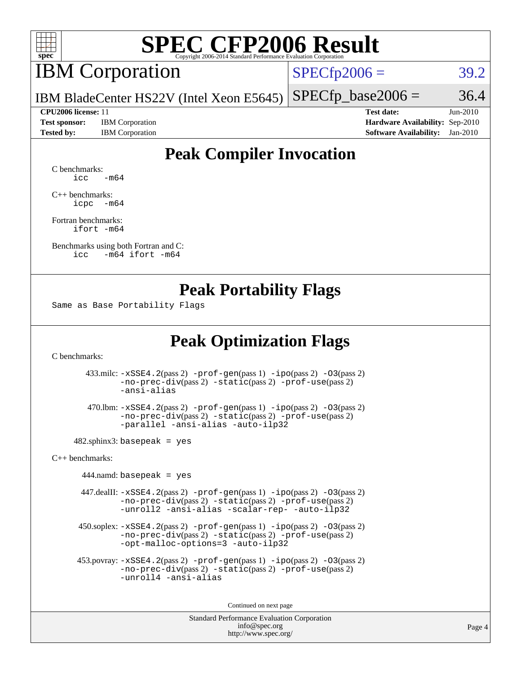

## IBM Corporation

 $SPECTp2006 = 39.2$ 

IBM BladeCenter HS22V (Intel Xeon E5645)  $SPECTp\_base2006 = 36.4$ 

**[Test sponsor:](http://www.spec.org/auto/cpu2006/Docs/result-fields.html#Testsponsor)** IBM Corporation **[Hardware Availability:](http://www.spec.org/auto/cpu2006/Docs/result-fields.html#HardwareAvailability)** Sep-2010

**[CPU2006 license:](http://www.spec.org/auto/cpu2006/Docs/result-fields.html#CPU2006license)** 11 **[Test date:](http://www.spec.org/auto/cpu2006/Docs/result-fields.html#Testdate)** Jun-2010 **[Tested by:](http://www.spec.org/auto/cpu2006/Docs/result-fields.html#Testedby)** IBM Corporation **[Software Availability:](http://www.spec.org/auto/cpu2006/Docs/result-fields.html#SoftwareAvailability)** Jan-2010

### **[Peak Compiler Invocation](http://www.spec.org/auto/cpu2006/Docs/result-fields.html#PeakCompilerInvocation)**

[C benchmarks](http://www.spec.org/auto/cpu2006/Docs/result-fields.html#Cbenchmarks):  $\text{icc}$   $-\text{m64}$ 

[C++ benchmarks:](http://www.spec.org/auto/cpu2006/Docs/result-fields.html#CXXbenchmarks) [icpc -m64](http://www.spec.org/cpu2006/results/res2010q3/cpu2006-20100802-12791.flags.html#user_CXXpeak_intel_icpc_64bit_bedb90c1146cab66620883ef4f41a67e)

[Fortran benchmarks](http://www.spec.org/auto/cpu2006/Docs/result-fields.html#Fortranbenchmarks): [ifort -m64](http://www.spec.org/cpu2006/results/res2010q3/cpu2006-20100802-12791.flags.html#user_FCpeak_intel_ifort_64bit_ee9d0fb25645d0210d97eb0527dcc06e)

[Benchmarks using both Fortran and C](http://www.spec.org/auto/cpu2006/Docs/result-fields.html#BenchmarksusingbothFortranandC): [icc -m64](http://www.spec.org/cpu2006/results/res2010q3/cpu2006-20100802-12791.flags.html#user_CC_FCpeak_intel_icc_64bit_0b7121f5ab7cfabee23d88897260401c) [ifort -m64](http://www.spec.org/cpu2006/results/res2010q3/cpu2006-20100802-12791.flags.html#user_CC_FCpeak_intel_ifort_64bit_ee9d0fb25645d0210d97eb0527dcc06e)

#### **[Peak Portability Flags](http://www.spec.org/auto/cpu2006/Docs/result-fields.html#PeakPortabilityFlags)**

Same as Base Portability Flags

### **[Peak Optimization Flags](http://www.spec.org/auto/cpu2006/Docs/result-fields.html#PeakOptimizationFlags)**

[C benchmarks](http://www.spec.org/auto/cpu2006/Docs/result-fields.html#Cbenchmarks):

 433.milc: [-xSSE4.2](http://www.spec.org/cpu2006/results/res2010q3/cpu2006-20100802-12791.flags.html#user_peakPASS2_CFLAGSPASS2_LDFLAGS433_milc_f-xSSE42_f91528193cf0b216347adb8b939d4107)(pass 2) [-prof-gen](http://www.spec.org/cpu2006/results/res2010q3/cpu2006-20100802-12791.flags.html#user_peakPASS1_CFLAGSPASS1_LDFLAGS433_milc_prof_gen_e43856698f6ca7b7e442dfd80e94a8fc)(pass 1) [-ipo](http://www.spec.org/cpu2006/results/res2010q3/cpu2006-20100802-12791.flags.html#user_peakPASS2_CFLAGSPASS2_LDFLAGS433_milc_f-ipo)(pass 2) [-O3](http://www.spec.org/cpu2006/results/res2010q3/cpu2006-20100802-12791.flags.html#user_peakPASS2_CFLAGSPASS2_LDFLAGS433_milc_f-O3)(pass 2) [-no-prec-div](http://www.spec.org/cpu2006/results/res2010q3/cpu2006-20100802-12791.flags.html#user_peakPASS2_CFLAGSPASS2_LDFLAGS433_milc_f-no-prec-div)(pass 2) [-static](http://www.spec.org/cpu2006/results/res2010q3/cpu2006-20100802-12791.flags.html#user_peakPASS2_CFLAGSPASS2_LDFLAGS433_milc_f-static)(pass 2) [-prof-use](http://www.spec.org/cpu2006/results/res2010q3/cpu2006-20100802-12791.flags.html#user_peakPASS2_CFLAGSPASS2_LDFLAGS433_milc_prof_use_bccf7792157ff70d64e32fe3e1250b55)(pass 2) [-ansi-alias](http://www.spec.org/cpu2006/results/res2010q3/cpu2006-20100802-12791.flags.html#user_peakOPTIMIZE433_milc_f-ansi-alias)

 470.lbm: [-xSSE4.2](http://www.spec.org/cpu2006/results/res2010q3/cpu2006-20100802-12791.flags.html#user_peakPASS2_CFLAGSPASS2_LDFLAGS470_lbm_f-xSSE42_f91528193cf0b216347adb8b939d4107)(pass 2) [-prof-gen](http://www.spec.org/cpu2006/results/res2010q3/cpu2006-20100802-12791.flags.html#user_peakPASS1_CFLAGSPASS1_LDFLAGS470_lbm_prof_gen_e43856698f6ca7b7e442dfd80e94a8fc)(pass 1) [-ipo](http://www.spec.org/cpu2006/results/res2010q3/cpu2006-20100802-12791.flags.html#user_peakPASS2_CFLAGSPASS2_LDFLAGS470_lbm_f-ipo)(pass 2) [-O3](http://www.spec.org/cpu2006/results/res2010q3/cpu2006-20100802-12791.flags.html#user_peakPASS2_CFLAGSPASS2_LDFLAGS470_lbm_f-O3)(pass 2) [-no-prec-div](http://www.spec.org/cpu2006/results/res2010q3/cpu2006-20100802-12791.flags.html#user_peakPASS2_CFLAGSPASS2_LDFLAGS470_lbm_f-no-prec-div)(pass 2) [-static](http://www.spec.org/cpu2006/results/res2010q3/cpu2006-20100802-12791.flags.html#user_peakPASS2_CFLAGSPASS2_LDFLAGS470_lbm_f-static)(pass 2) [-prof-use](http://www.spec.org/cpu2006/results/res2010q3/cpu2006-20100802-12791.flags.html#user_peakPASS2_CFLAGSPASS2_LDFLAGS470_lbm_prof_use_bccf7792157ff70d64e32fe3e1250b55)(pass 2) [-parallel](http://www.spec.org/cpu2006/results/res2010q3/cpu2006-20100802-12791.flags.html#user_peakOPTIMIZE470_lbm_f-parallel) [-ansi-alias](http://www.spec.org/cpu2006/results/res2010q3/cpu2006-20100802-12791.flags.html#user_peakOPTIMIZE470_lbm_f-ansi-alias) [-auto-ilp32](http://www.spec.org/cpu2006/results/res2010q3/cpu2006-20100802-12791.flags.html#user_peakCOPTIMIZE470_lbm_f-auto-ilp32)

 $482$ .sphinx3: basepeak = yes

[C++ benchmarks:](http://www.spec.org/auto/cpu2006/Docs/result-fields.html#CXXbenchmarks)

 $444$ .namd: basepeak = yes

 447.dealII: [-xSSE4.2](http://www.spec.org/cpu2006/results/res2010q3/cpu2006-20100802-12791.flags.html#user_peakPASS2_CXXFLAGSPASS2_LDFLAGS447_dealII_f-xSSE42_f91528193cf0b216347adb8b939d4107)(pass 2) [-prof-gen](http://www.spec.org/cpu2006/results/res2010q3/cpu2006-20100802-12791.flags.html#user_peakPASS1_CXXFLAGSPASS1_LDFLAGS447_dealII_prof_gen_e43856698f6ca7b7e442dfd80e94a8fc)(pass 1) [-ipo](http://www.spec.org/cpu2006/results/res2010q3/cpu2006-20100802-12791.flags.html#user_peakPASS2_CXXFLAGSPASS2_LDFLAGS447_dealII_f-ipo)(pass 2) [-O3](http://www.spec.org/cpu2006/results/res2010q3/cpu2006-20100802-12791.flags.html#user_peakPASS2_CXXFLAGSPASS2_LDFLAGS447_dealII_f-O3)(pass 2) [-no-prec-div](http://www.spec.org/cpu2006/results/res2010q3/cpu2006-20100802-12791.flags.html#user_peakPASS2_CXXFLAGSPASS2_LDFLAGS447_dealII_f-no-prec-div)(pass 2) [-static](http://www.spec.org/cpu2006/results/res2010q3/cpu2006-20100802-12791.flags.html#user_peakPASS2_CXXFLAGSPASS2_LDFLAGS447_dealII_f-static)(pass 2) [-prof-use](http://www.spec.org/cpu2006/results/res2010q3/cpu2006-20100802-12791.flags.html#user_peakPASS2_CXXFLAGSPASS2_LDFLAGS447_dealII_prof_use_bccf7792157ff70d64e32fe3e1250b55)(pass 2) [-unroll2](http://www.spec.org/cpu2006/results/res2010q3/cpu2006-20100802-12791.flags.html#user_peakOPTIMIZE447_dealII_f-unroll_784dae83bebfb236979b41d2422d7ec2) [-ansi-alias](http://www.spec.org/cpu2006/results/res2010q3/cpu2006-20100802-12791.flags.html#user_peakOPTIMIZE447_dealII_f-ansi-alias) [-scalar-rep-](http://www.spec.org/cpu2006/results/res2010q3/cpu2006-20100802-12791.flags.html#user_peakOPTIMIZE447_dealII_f-disablescalarrep_abbcad04450fb118e4809c81d83c8a1d) [-auto-ilp32](http://www.spec.org/cpu2006/results/res2010q3/cpu2006-20100802-12791.flags.html#user_peakCXXOPTIMIZE447_dealII_f-auto-ilp32)

 $450.\text{soplex: } -x\text{SSE4}.2(\text{pass 2}) -\text{prof-gen}(\text{pass 1}) -\text{ipo}(\text{pass 2}) -\text{O3}(\text{pass 2})$ [-no-prec-div](http://www.spec.org/cpu2006/results/res2010q3/cpu2006-20100802-12791.flags.html#user_peakPASS2_CXXFLAGSPASS2_LDFLAGS450_soplex_f-no-prec-div)(pass 2) [-static](http://www.spec.org/cpu2006/results/res2010q3/cpu2006-20100802-12791.flags.html#user_peakPASS2_CXXFLAGSPASS2_LDFLAGS450_soplex_f-static)(pass 2) [-prof-use](http://www.spec.org/cpu2006/results/res2010q3/cpu2006-20100802-12791.flags.html#user_peakPASS2_CXXFLAGSPASS2_LDFLAGS450_soplex_prof_use_bccf7792157ff70d64e32fe3e1250b55)(pass 2) [-opt-malloc-options=3](http://www.spec.org/cpu2006/results/res2010q3/cpu2006-20100802-12791.flags.html#user_peakOPTIMIZE450_soplex_f-opt-malloc-options_13ab9b803cf986b4ee62f0a5998c2238) [-auto-ilp32](http://www.spec.org/cpu2006/results/res2010q3/cpu2006-20100802-12791.flags.html#user_peakCXXOPTIMIZE450_soplex_f-auto-ilp32)

 453.povray: [-xSSE4.2](http://www.spec.org/cpu2006/results/res2010q3/cpu2006-20100802-12791.flags.html#user_peakPASS2_CXXFLAGSPASS2_LDFLAGS453_povray_f-xSSE42_f91528193cf0b216347adb8b939d4107)(pass 2) [-prof-gen](http://www.spec.org/cpu2006/results/res2010q3/cpu2006-20100802-12791.flags.html#user_peakPASS1_CXXFLAGSPASS1_LDFLAGS453_povray_prof_gen_e43856698f6ca7b7e442dfd80e94a8fc)(pass 1) [-ipo](http://www.spec.org/cpu2006/results/res2010q3/cpu2006-20100802-12791.flags.html#user_peakPASS2_CXXFLAGSPASS2_LDFLAGS453_povray_f-ipo)(pass 2) [-O3](http://www.spec.org/cpu2006/results/res2010q3/cpu2006-20100802-12791.flags.html#user_peakPASS2_CXXFLAGSPASS2_LDFLAGS453_povray_f-O3)(pass 2) [-no-prec-div](http://www.spec.org/cpu2006/results/res2010q3/cpu2006-20100802-12791.flags.html#user_peakPASS2_CXXFLAGSPASS2_LDFLAGS453_povray_f-no-prec-div)(pass 2) [-static](http://www.spec.org/cpu2006/results/res2010q3/cpu2006-20100802-12791.flags.html#user_peakPASS2_CXXFLAGSPASS2_LDFLAGS453_povray_f-static)(pass 2) [-prof-use](http://www.spec.org/cpu2006/results/res2010q3/cpu2006-20100802-12791.flags.html#user_peakPASS2_CXXFLAGSPASS2_LDFLAGS453_povray_prof_use_bccf7792157ff70d64e32fe3e1250b55)(pass 2) [-unroll4](http://www.spec.org/cpu2006/results/res2010q3/cpu2006-20100802-12791.flags.html#user_peakCXXOPTIMIZE453_povray_f-unroll_4e5e4ed65b7fd20bdcd365bec371b81f) [-ansi-alias](http://www.spec.org/cpu2006/results/res2010q3/cpu2006-20100802-12791.flags.html#user_peakCXXOPTIMIZE453_povray_f-ansi-alias)

Continued on next page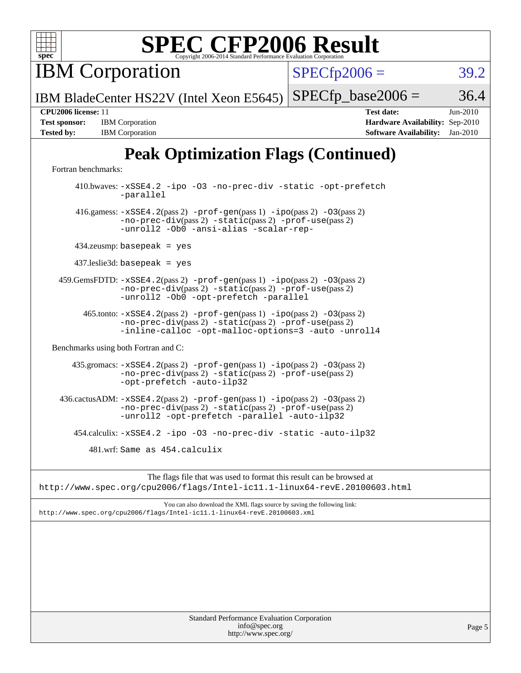

IBM Corporation

 $SPECTp2006 = 39.2$ 

IBM BladeCenter HS22V (Intel Xeon E5645)  $SPECTp\_base2006 = 36.4$ 

| <b>Test sponsor:</b> | <b>IBM</b> Corporation |
|----------------------|------------------------|
| <b>Tested by:</b>    | <b>IBM</b> Corporation |

**[CPU2006 license:](http://www.spec.org/auto/cpu2006/Docs/result-fields.html#CPU2006license)** 11 **[Test date:](http://www.spec.org/auto/cpu2006/Docs/result-fields.html#Testdate)** Jun-2010 **[Hardware Availability:](http://www.spec.org/auto/cpu2006/Docs/result-fields.html#HardwareAvailability)** Sep-2010 **[Software Availability:](http://www.spec.org/auto/cpu2006/Docs/result-fields.html#SoftwareAvailability)** Jan-2010

## **[Peak Optimization Flags \(Continued\)](http://www.spec.org/auto/cpu2006/Docs/result-fields.html#PeakOptimizationFlags)**

[Fortran benchmarks](http://www.spec.org/auto/cpu2006/Docs/result-fields.html#Fortranbenchmarks):

 410.bwaves: [-xSSE4.2](http://www.spec.org/cpu2006/results/res2010q3/cpu2006-20100802-12791.flags.html#user_peakOPTIMIZE410_bwaves_f-xSSE42_f91528193cf0b216347adb8b939d4107) [-ipo](http://www.spec.org/cpu2006/results/res2010q3/cpu2006-20100802-12791.flags.html#user_peakOPTIMIZE410_bwaves_f-ipo) [-O3](http://www.spec.org/cpu2006/results/res2010q3/cpu2006-20100802-12791.flags.html#user_peakOPTIMIZE410_bwaves_f-O3) [-no-prec-div](http://www.spec.org/cpu2006/results/res2010q3/cpu2006-20100802-12791.flags.html#user_peakOPTIMIZE410_bwaves_f-no-prec-div) [-static](http://www.spec.org/cpu2006/results/res2010q3/cpu2006-20100802-12791.flags.html#user_peakOPTIMIZE410_bwaves_f-static) [-opt-prefetch](http://www.spec.org/cpu2006/results/res2010q3/cpu2006-20100802-12791.flags.html#user_peakOPTIMIZE410_bwaves_f-opt-prefetch) [-parallel](http://www.spec.org/cpu2006/results/res2010q3/cpu2006-20100802-12791.flags.html#user_peakOPTIMIZE410_bwaves_f-parallel) 416.gamess: [-xSSE4.2](http://www.spec.org/cpu2006/results/res2010q3/cpu2006-20100802-12791.flags.html#user_peakPASS2_FFLAGSPASS2_LDFLAGS416_gamess_f-xSSE42_f91528193cf0b216347adb8b939d4107)(pass 2) [-prof-gen](http://www.spec.org/cpu2006/results/res2010q3/cpu2006-20100802-12791.flags.html#user_peakPASS1_FFLAGSPASS1_LDFLAGS416_gamess_prof_gen_e43856698f6ca7b7e442dfd80e94a8fc)(pass 1) [-ipo](http://www.spec.org/cpu2006/results/res2010q3/cpu2006-20100802-12791.flags.html#user_peakPASS2_FFLAGSPASS2_LDFLAGS416_gamess_f-ipo)(pass 2) [-O3](http://www.spec.org/cpu2006/results/res2010q3/cpu2006-20100802-12791.flags.html#user_peakPASS2_FFLAGSPASS2_LDFLAGS416_gamess_f-O3)(pass 2) [-no-prec-div](http://www.spec.org/cpu2006/results/res2010q3/cpu2006-20100802-12791.flags.html#user_peakPASS2_FFLAGSPASS2_LDFLAGS416_gamess_f-no-prec-div)(pass 2) [-static](http://www.spec.org/cpu2006/results/res2010q3/cpu2006-20100802-12791.flags.html#user_peakPASS2_FFLAGSPASS2_LDFLAGS416_gamess_f-static)(pass 2) [-prof-use](http://www.spec.org/cpu2006/results/res2010q3/cpu2006-20100802-12791.flags.html#user_peakPASS2_FFLAGSPASS2_LDFLAGS416_gamess_prof_use_bccf7792157ff70d64e32fe3e1250b55)(pass 2) [-unroll2](http://www.spec.org/cpu2006/results/res2010q3/cpu2006-20100802-12791.flags.html#user_peakOPTIMIZE416_gamess_f-unroll_784dae83bebfb236979b41d2422d7ec2) [-Ob0](http://www.spec.org/cpu2006/results/res2010q3/cpu2006-20100802-12791.flags.html#user_peakOPTIMIZE416_gamess_f-Ob_n_fbe6f6428adb7d4b74b1e99bb2444c2d) [-ansi-alias](http://www.spec.org/cpu2006/results/res2010q3/cpu2006-20100802-12791.flags.html#user_peakOPTIMIZE416_gamess_f-ansi-alias) [-scalar-rep-](http://www.spec.org/cpu2006/results/res2010q3/cpu2006-20100802-12791.flags.html#user_peakOPTIMIZE416_gamess_f-disablescalarrep_abbcad04450fb118e4809c81d83c8a1d) 434.zeusmp: basepeak = yes 437.leslie3d: basepeak = yes 459.GemsFDTD: [-xSSE4.2](http://www.spec.org/cpu2006/results/res2010q3/cpu2006-20100802-12791.flags.html#user_peakPASS2_FFLAGSPASS2_LDFLAGS459_GemsFDTD_f-xSSE42_f91528193cf0b216347adb8b939d4107)(pass 2) [-prof-gen](http://www.spec.org/cpu2006/results/res2010q3/cpu2006-20100802-12791.flags.html#user_peakPASS1_FFLAGSPASS1_LDFLAGS459_GemsFDTD_prof_gen_e43856698f6ca7b7e442dfd80e94a8fc)(pass 1) [-ipo](http://www.spec.org/cpu2006/results/res2010q3/cpu2006-20100802-12791.flags.html#user_peakPASS2_FFLAGSPASS2_LDFLAGS459_GemsFDTD_f-ipo)(pass 2) [-O3](http://www.spec.org/cpu2006/results/res2010q3/cpu2006-20100802-12791.flags.html#user_peakPASS2_FFLAGSPASS2_LDFLAGS459_GemsFDTD_f-O3)(pass 2) [-no-prec-div](http://www.spec.org/cpu2006/results/res2010q3/cpu2006-20100802-12791.flags.html#user_peakPASS2_FFLAGSPASS2_LDFLAGS459_GemsFDTD_f-no-prec-div)(pass 2) [-static](http://www.spec.org/cpu2006/results/res2010q3/cpu2006-20100802-12791.flags.html#user_peakPASS2_FFLAGSPASS2_LDFLAGS459_GemsFDTD_f-static)(pass 2) [-prof-use](http://www.spec.org/cpu2006/results/res2010q3/cpu2006-20100802-12791.flags.html#user_peakPASS2_FFLAGSPASS2_LDFLAGS459_GemsFDTD_prof_use_bccf7792157ff70d64e32fe3e1250b55)(pass 2) [-unroll2](http://www.spec.org/cpu2006/results/res2010q3/cpu2006-20100802-12791.flags.html#user_peakOPTIMIZE459_GemsFDTD_f-unroll_784dae83bebfb236979b41d2422d7ec2) [-Ob0](http://www.spec.org/cpu2006/results/res2010q3/cpu2006-20100802-12791.flags.html#user_peakOPTIMIZE459_GemsFDTD_f-Ob_n_fbe6f6428adb7d4b74b1e99bb2444c2d) [-opt-prefetch](http://www.spec.org/cpu2006/results/res2010q3/cpu2006-20100802-12791.flags.html#user_peakOPTIMIZE459_GemsFDTD_f-opt-prefetch) [-parallel](http://www.spec.org/cpu2006/results/res2010q3/cpu2006-20100802-12791.flags.html#user_peakOPTIMIZE459_GemsFDTD_f-parallel) 465.tonto: [-xSSE4.2](http://www.spec.org/cpu2006/results/res2010q3/cpu2006-20100802-12791.flags.html#user_peakPASS2_FFLAGSPASS2_LDFLAGS465_tonto_f-xSSE42_f91528193cf0b216347adb8b939d4107)(pass 2) [-prof-gen](http://www.spec.org/cpu2006/results/res2010q3/cpu2006-20100802-12791.flags.html#user_peakPASS1_FFLAGSPASS1_LDFLAGS465_tonto_prof_gen_e43856698f6ca7b7e442dfd80e94a8fc)(pass 1) [-ipo](http://www.spec.org/cpu2006/results/res2010q3/cpu2006-20100802-12791.flags.html#user_peakPASS2_FFLAGSPASS2_LDFLAGS465_tonto_f-ipo)(pass 2) [-O3](http://www.spec.org/cpu2006/results/res2010q3/cpu2006-20100802-12791.flags.html#user_peakPASS2_FFLAGSPASS2_LDFLAGS465_tonto_f-O3)(pass 2) [-no-prec-div](http://www.spec.org/cpu2006/results/res2010q3/cpu2006-20100802-12791.flags.html#user_peakPASS2_FFLAGSPASS2_LDFLAGS465_tonto_f-no-prec-div)(pass 2) [-static](http://www.spec.org/cpu2006/results/res2010q3/cpu2006-20100802-12791.flags.html#user_peakPASS2_FFLAGSPASS2_LDFLAGS465_tonto_f-static)(pass 2) [-prof-use](http://www.spec.org/cpu2006/results/res2010q3/cpu2006-20100802-12791.flags.html#user_peakPASS2_FFLAGSPASS2_LDFLAGS465_tonto_prof_use_bccf7792157ff70d64e32fe3e1250b55)(pass 2) [-inline-calloc](http://www.spec.org/cpu2006/results/res2010q3/cpu2006-20100802-12791.flags.html#user_peakOPTIMIZE465_tonto_f-inline-calloc) [-opt-malloc-options=3](http://www.spec.org/cpu2006/results/res2010q3/cpu2006-20100802-12791.flags.html#user_peakOPTIMIZE465_tonto_f-opt-malloc-options_13ab9b803cf986b4ee62f0a5998c2238) [-auto](http://www.spec.org/cpu2006/results/res2010q3/cpu2006-20100802-12791.flags.html#user_peakOPTIMIZE465_tonto_f-auto) [-unroll4](http://www.spec.org/cpu2006/results/res2010q3/cpu2006-20100802-12791.flags.html#user_peakOPTIMIZE465_tonto_f-unroll_4e5e4ed65b7fd20bdcd365bec371b81f) [Benchmarks using both Fortran and C](http://www.spec.org/auto/cpu2006/Docs/result-fields.html#BenchmarksusingbothFortranandC): 435.gromacs: [-xSSE4.2](http://www.spec.org/cpu2006/results/res2010q3/cpu2006-20100802-12791.flags.html#user_peakPASS2_CFLAGSPASS2_FFLAGSPASS2_LDFLAGS435_gromacs_f-xSSE42_f91528193cf0b216347adb8b939d4107)(pass 2) [-prof-gen](http://www.spec.org/cpu2006/results/res2010q3/cpu2006-20100802-12791.flags.html#user_peakPASS1_CFLAGSPASS1_FFLAGSPASS1_LDFLAGS435_gromacs_prof_gen_e43856698f6ca7b7e442dfd80e94a8fc)(pass 1) [-ipo](http://www.spec.org/cpu2006/results/res2010q3/cpu2006-20100802-12791.flags.html#user_peakPASS2_CFLAGSPASS2_FFLAGSPASS2_LDFLAGS435_gromacs_f-ipo)(pass 2) [-O3](http://www.spec.org/cpu2006/results/res2010q3/cpu2006-20100802-12791.flags.html#user_peakPASS2_CFLAGSPASS2_FFLAGSPASS2_LDFLAGS435_gromacs_f-O3)(pass 2) [-no-prec-div](http://www.spec.org/cpu2006/results/res2010q3/cpu2006-20100802-12791.flags.html#user_peakPASS2_CFLAGSPASS2_FFLAGSPASS2_LDFLAGS435_gromacs_f-no-prec-div)(pass 2) [-static](http://www.spec.org/cpu2006/results/res2010q3/cpu2006-20100802-12791.flags.html#user_peakPASS2_CFLAGSPASS2_FFLAGSPASS2_LDFLAGS435_gromacs_f-static)(pass 2) [-prof-use](http://www.spec.org/cpu2006/results/res2010q3/cpu2006-20100802-12791.flags.html#user_peakPASS2_CFLAGSPASS2_FFLAGSPASS2_LDFLAGS435_gromacs_prof_use_bccf7792157ff70d64e32fe3e1250b55)(pass 2) [-opt-prefetch](http://www.spec.org/cpu2006/results/res2010q3/cpu2006-20100802-12791.flags.html#user_peakOPTIMIZE435_gromacs_f-opt-prefetch) [-auto-ilp32](http://www.spec.org/cpu2006/results/res2010q3/cpu2006-20100802-12791.flags.html#user_peakCOPTIMIZE435_gromacs_f-auto-ilp32) 436.cactusADM:  $-xSSE4$ . 2(pass 2)  $-prof-gen(pass 1) -ipo(pass 2) -O3(pass 2)$  $-prof-gen(pass 1) -ipo(pass 2) -O3(pass 2)$  $-prof-gen(pass 1) -ipo(pass 2) -O3(pass 2)$  $-prof-gen(pass 1) -ipo(pass 2) -O3(pass 2)$  $-prof-gen(pass 1) -ipo(pass 2) -O3(pass 2)$  $-prof-gen(pass 1) -ipo(pass 2) -O3(pass 2)$ [-no-prec-div](http://www.spec.org/cpu2006/results/res2010q3/cpu2006-20100802-12791.flags.html#user_peakPASS2_CFLAGSPASS2_FFLAGSPASS2_LDFLAGS436_cactusADM_f-no-prec-div)(pass 2) [-static](http://www.spec.org/cpu2006/results/res2010q3/cpu2006-20100802-12791.flags.html#user_peakPASS2_CFLAGSPASS2_FFLAGSPASS2_LDFLAGS436_cactusADM_f-static)(pass 2) [-prof-use](http://www.spec.org/cpu2006/results/res2010q3/cpu2006-20100802-12791.flags.html#user_peakPASS2_CFLAGSPASS2_FFLAGSPASS2_LDFLAGS436_cactusADM_prof_use_bccf7792157ff70d64e32fe3e1250b55)(pass 2) [-unroll2](http://www.spec.org/cpu2006/results/res2010q3/cpu2006-20100802-12791.flags.html#user_peakOPTIMIZE436_cactusADM_f-unroll_784dae83bebfb236979b41d2422d7ec2) [-opt-prefetch](http://www.spec.org/cpu2006/results/res2010q3/cpu2006-20100802-12791.flags.html#user_peakOPTIMIZE436_cactusADM_f-opt-prefetch) [-parallel](http://www.spec.org/cpu2006/results/res2010q3/cpu2006-20100802-12791.flags.html#user_peakOPTIMIZE436_cactusADM_f-parallel) [-auto-ilp32](http://www.spec.org/cpu2006/results/res2010q3/cpu2006-20100802-12791.flags.html#user_peakCOPTIMIZE436_cactusADM_f-auto-ilp32) 454.calculix: [-xSSE4.2](http://www.spec.org/cpu2006/results/res2010q3/cpu2006-20100802-12791.flags.html#user_peakOPTIMIZE454_calculix_f-xSSE42_f91528193cf0b216347adb8b939d4107) [-ipo](http://www.spec.org/cpu2006/results/res2010q3/cpu2006-20100802-12791.flags.html#user_peakOPTIMIZE454_calculix_f-ipo) [-O3](http://www.spec.org/cpu2006/results/res2010q3/cpu2006-20100802-12791.flags.html#user_peakOPTIMIZE454_calculix_f-O3) [-no-prec-div](http://www.spec.org/cpu2006/results/res2010q3/cpu2006-20100802-12791.flags.html#user_peakOPTIMIZE454_calculix_f-no-prec-div) [-static](http://www.spec.org/cpu2006/results/res2010q3/cpu2006-20100802-12791.flags.html#user_peakOPTIMIZE454_calculix_f-static) [-auto-ilp32](http://www.spec.org/cpu2006/results/res2010q3/cpu2006-20100802-12791.flags.html#user_peakCOPTIMIZE454_calculix_f-auto-ilp32) 481.wrf: Same as 454.calculix

The flags file that was used to format this result can be browsed at <http://www.spec.org/cpu2006/flags/Intel-ic11.1-linux64-revE.20100603.html>

You can also download the XML flags source by saving the following link: <http://www.spec.org/cpu2006/flags/Intel-ic11.1-linux64-revE.20100603.xml>